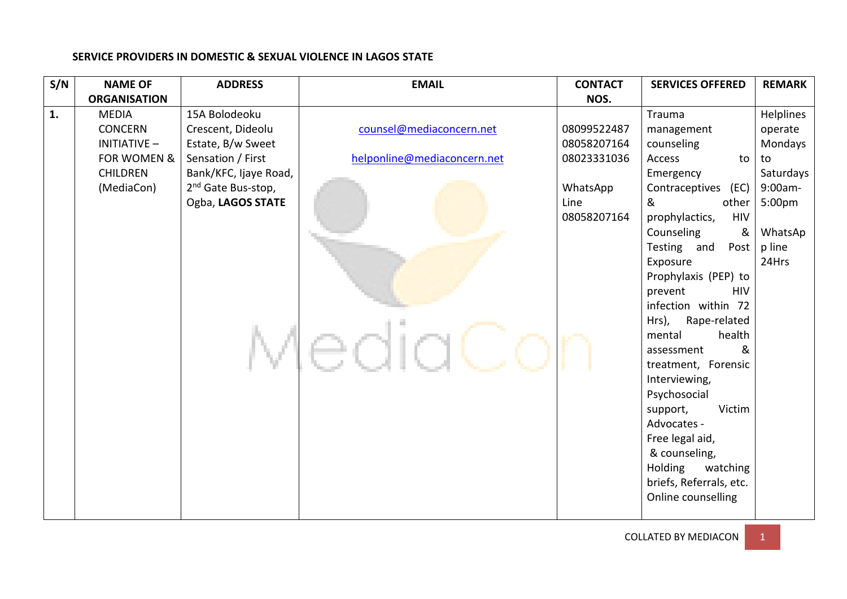| S/N | <b>NAME OF</b>      | <b>ADDRESS</b>                 | <b>EMAIL</b>                | <b>CONTACT</b> | <b>SERVICES OFFERED</b>              | <b>REMARK</b> |
|-----|---------------------|--------------------------------|-----------------------------|----------------|--------------------------------------|---------------|
|     | <b>ORGANISATION</b> |                                |                             | NOS.           |                                      |               |
| 1.  | <b>MEDIA</b>        | 15A Bolodeoku                  |                             |                | Trauma                               | Helplines     |
|     | <b>CONCERN</b>      | Crescent, Dideolu              | counsel@mediaconcern.net    | 08099522487    | management                           | operate       |
|     | <b>INITIATIVE -</b> | Estate, B/w Sweet              |                             | 08058207164    | counseling                           | Mondays       |
|     | FOR WOMEN &         | Sensation / First              | helponline@mediaconcern.net | 08023331036    | Access<br>to                         | to            |
|     | <b>CHILDREN</b>     | Bank/KFC, Ijaye Road,          |                             |                | Emergency                            | Saturdays     |
|     | (MediaCon)          | 2 <sup>nd</sup> Gate Bus-stop, |                             | WhatsApp       | Contraceptives<br>(EC)               | 9:00am-       |
|     |                     | Ogba, LAGOS STATE              |                             | Line           | &<br>other                           | 5:00pm        |
|     |                     |                                |                             | 08058207164    | prophylactics,<br><b>HIV</b>         |               |
|     |                     |                                |                             |                | Counseling<br>&                      | WhatsAp       |
|     |                     |                                |                             |                | Testing and<br>Post                  | p line        |
|     |                     |                                |                             |                | Exposure                             | 24Hrs         |
|     |                     |                                |                             |                | Prophylaxis (PEP) to                 |               |
|     |                     |                                |                             |                | prevent<br><b>HIV</b>                |               |
|     |                     |                                |                             |                | infection within 72                  |               |
|     |                     |                                |                             |                | Hrs),<br>Rape-related                |               |
|     |                     |                                |                             |                | health<br>mental<br>&                |               |
|     |                     |                                |                             |                | assessment                           |               |
|     |                     |                                |                             |                | treatment, Forensic<br>Interviewing, |               |
|     |                     |                                |                             |                | Psychosocial                         |               |
|     |                     |                                |                             |                | Victim<br>support,                   |               |
|     |                     |                                |                             |                | Advocates -                          |               |
|     |                     |                                |                             |                | Free legal aid,                      |               |
|     |                     |                                |                             |                | & counseling,                        |               |
|     |                     |                                |                             |                | Holding<br>watching                  |               |
|     |                     |                                |                             |                | briefs, Referrals, etc.              |               |
|     |                     |                                |                             |                | Online counselling                   |               |
|     |                     |                                |                             |                |                                      |               |

## **SERVICE PROVIDERS IN DOMESTIC & SEXUAL VIOLENCE IN LAGOS STATE**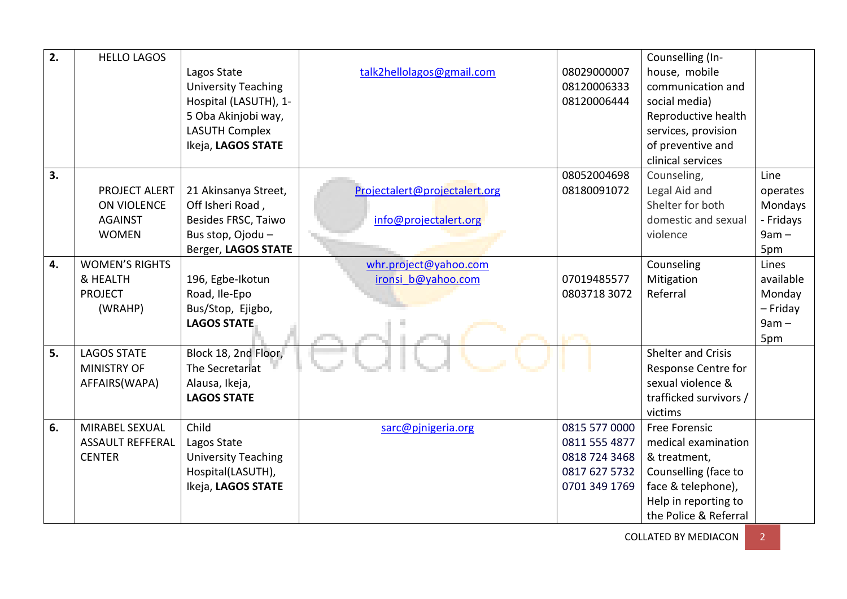| 2. | <b>HELLO LAGOS</b>      |                            |                               |               | Counselling (In-          |           |
|----|-------------------------|----------------------------|-------------------------------|---------------|---------------------------|-----------|
|    |                         | Lagos State                | talk2hellolagos@gmail.com     | 08029000007   | house, mobile             |           |
|    |                         | <b>University Teaching</b> |                               | 08120006333   | communication and         |           |
|    |                         | Hospital (LASUTH), 1-      |                               | 08120006444   | social media)             |           |
|    |                         | 5 Oba Akinjobi way,        |                               |               | Reproductive health       |           |
|    |                         | <b>LASUTH Complex</b>      |                               |               | services, provision       |           |
|    |                         | Ikeja, LAGOS STATE         |                               |               | of preventive and         |           |
|    |                         |                            |                               |               | clinical services         |           |
| 3. |                         |                            |                               | 08052004698   | Counseling,               | Line      |
|    | PROJECT ALERT           | 21 Akinsanya Street,       | Projectalert@projectalert.org | 08180091072   | Legal Aid and             | operates  |
|    | ON VIOLENCE             | Off Isheri Road,           |                               |               | Shelter for both          | Mondays   |
|    | <b>AGAINST</b>          | Besides FRSC, Taiwo        | info@projectalert.org         |               | domestic and sexual       | - Fridays |
|    | <b>WOMEN</b>            | Bus stop, Ojodu -          |                               |               | violence                  | $9am -$   |
|    |                         | Berger, LAGOS STATE        |                               |               |                           | 5pm       |
| 4. | <b>WOMEN'S RIGHTS</b>   |                            | whr.project@yahoo.com         |               | Counseling                | Lines     |
|    | & HEALTH                | 196, Egbe-Ikotun           | ironsi b@yahoo.com            | 07019485577   | Mitigation                | available |
|    | <b>PROJECT</b>          | Road, Ile-Epo              |                               | 0803718 3072  | Referral                  | Monday    |
|    | (WRAHP)                 | Bus/Stop, Ejigbo,          |                               |               |                           | - Friday  |
|    |                         | <b>LAGOS STATE</b>         |                               |               |                           | $9am -$   |
|    |                         |                            |                               |               |                           | 5pm       |
| 5. | <b>LAGOS STATE</b>      | Block 18, 2nd Floor,       |                               |               | <b>Shelter and Crisis</b> |           |
|    | <b>MINISTRY OF</b>      | The Secretariat            |                               |               | Response Centre for       |           |
|    | AFFAIRS(WAPA)           | Alausa, Ikeja,             |                               |               | sexual violence &         |           |
|    |                         | <b>LAGOS STATE</b>         |                               |               | trafficked survivors /    |           |
|    |                         |                            |                               |               | victims                   |           |
| 6. | MIRABEL SEXUAL          | Child                      | sarc@pjnigeria.org            | 0815 577 0000 | <b>Free Forensic</b>      |           |
|    | <b>ASSAULT REFFERAL</b> | Lagos State                |                               | 0811 555 4877 | medical examination       |           |
|    | <b>CENTER</b>           | <b>University Teaching</b> |                               | 0818 724 3468 | & treatment,              |           |
|    |                         | Hospital(LASUTH),          |                               | 0817 627 5732 | Counselling (face to      |           |
|    |                         | Ikeja, LAGOS STATE         |                               | 0701 349 1769 | face & telephone),        |           |
|    |                         |                            |                               |               | Help in reporting to      |           |
|    |                         |                            |                               |               | the Police & Referral     |           |

COLLATED BY MEDIACON 2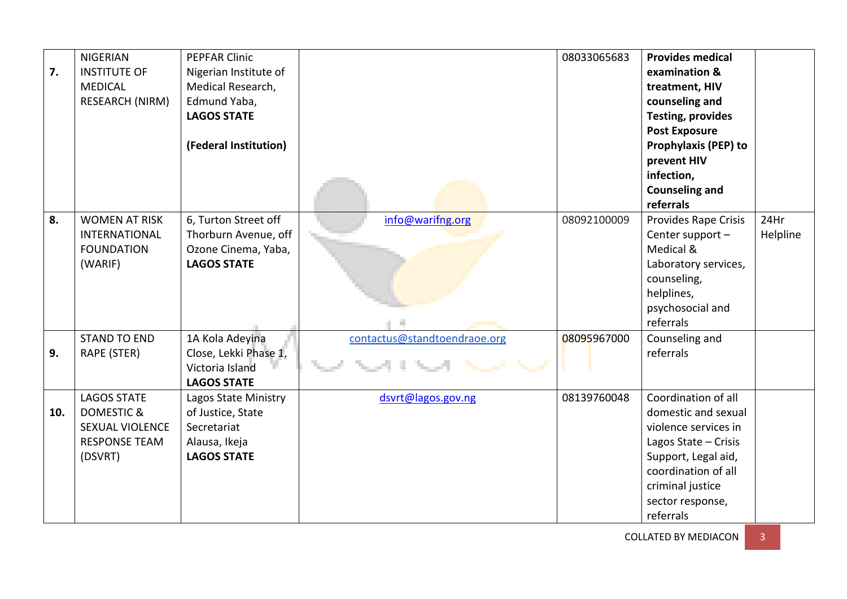| 7.  | <b>NIGERIAN</b><br><b>INSTITUTE OF</b><br><b>MEDICAL</b><br>RESEARCH (NIRM)                              | <b>PEPFAR Clinic</b><br>Nigerian Institute of<br>Medical Research,<br>Edmund Yaba,<br><b>LAGOS STATE</b><br>(Federal Institution) |                              | 08033065683 | <b>Provides medical</b><br>examination &<br>treatment, HIV<br>counseling and<br><b>Testing, provides</b><br><b>Post Exposure</b><br><b>Prophylaxis (PEP) to</b><br>prevent HIV<br>infection,<br><b>Counseling and</b><br>referrals |                  |
|-----|----------------------------------------------------------------------------------------------------------|-----------------------------------------------------------------------------------------------------------------------------------|------------------------------|-------------|------------------------------------------------------------------------------------------------------------------------------------------------------------------------------------------------------------------------------------|------------------|
| 8.  | <b>WOMEN AT RISK</b><br><b>INTERNATIONAL</b><br><b>FOUNDATION</b><br>(WARIF)                             | 6, Turton Street off<br>Thorburn Avenue, off<br>Ozone Cinema, Yaba,<br><b>LAGOS STATE</b>                                         | info@warifng.org             | 08092100009 | <b>Provides Rape Crisis</b><br>Center support -<br>Medical &<br>Laboratory services,<br>counseling,<br>helplines,<br>psychosocial and<br>referrals                                                                                 | 24Hr<br>Helpline |
| 9.  | <b>STAND TO END</b><br>RAPE (STER)                                                                       | 1A Kola Adeyina<br>Close, Lekki Phase 1,<br>Victoria Island<br><b>LAGOS STATE</b>                                                 | contactus@standtoendraoe.org | 08095967000 | Counseling and<br>referrals                                                                                                                                                                                                        |                  |
| 10. | <b>LAGOS STATE</b><br><b>DOMESTIC &amp;</b><br><b>SEXUAL VIOLENCE</b><br><b>RESPONSE TEAM</b><br>(DSVRT) | Lagos State Ministry<br>of Justice, State<br>Secretariat<br>Alausa, Ikeja<br><b>LAGOS STATE</b>                                   | dsvrt@lagos.gov.ng           | 08139760048 | Coordination of all<br>domestic and sexual<br>violence services in<br>Lagos State - Crisis<br>Support, Legal aid,<br>coordination of all<br>criminal justice<br>sector response,<br>referrals                                      |                  |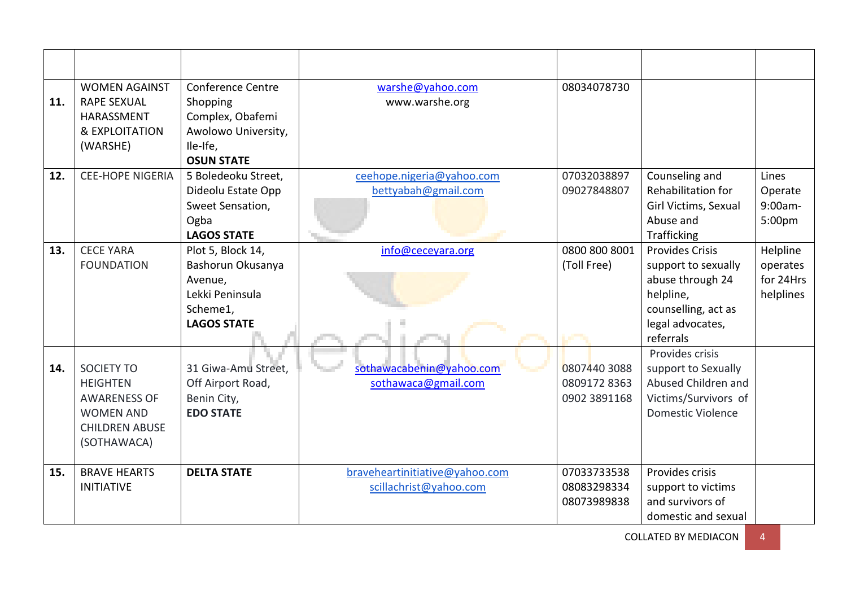| 11. | <b>WOMEN AGAINST</b><br><b>RAPE SEXUAL</b><br><b>HARASSMENT</b><br>& EXPLOITATION<br>(WARSHE)                           | <b>Conference Centre</b><br>Shopping<br>Complex, Obafemi<br>Awolowo University,<br>Ile-Ife,<br><b>OSUN STATE</b> | warshe@yahoo.com<br>www.warshe.org                       | 08034078730                                 |                                                                                                                                        |                                                |
|-----|-------------------------------------------------------------------------------------------------------------------------|------------------------------------------------------------------------------------------------------------------|----------------------------------------------------------|---------------------------------------------|----------------------------------------------------------------------------------------------------------------------------------------|------------------------------------------------|
| 12. | <b>CEE-HOPE NIGERIA</b>                                                                                                 | 5 Boledeoku Street,<br>Dideolu Estate Opp<br>Sweet Sensation,<br>Ogba<br><b>LAGOS STATE</b>                      | ceehope.nigeria@yahoo.com<br>bettyabah@gmail.com         | 07032038897<br>09027848807                  | Counseling and<br>Rehabilitation for<br>Girl Victims, Sexual<br>Abuse and<br><b>Trafficking</b>                                        | Lines<br>Operate<br>9:00am-<br>5:00pm          |
| 13. | <b>CECE YARA</b><br><b>FOUNDATION</b>                                                                                   | Plot 5, Block 14,<br>Bashorun Okusanya<br>Avenue,<br>Lekki Peninsula<br>Scheme1,<br><b>LAGOS STATE</b>           | info@ceceyara.org                                        | 0800 800 8001<br>(Toll Free)                | <b>Provides Crisis</b><br>support to sexually<br>abuse through 24<br>helpline,<br>counselling, act as<br>legal advocates,<br>referrals | Helpline<br>operates<br>for 24Hrs<br>helplines |
| 14. | <b>SOCIETY TO</b><br><b>HEIGHTEN</b><br><b>AWARENESS OF</b><br><b>WOMEN AND</b><br><b>CHILDREN ABUSE</b><br>(SOTHAWACA) | 31 Giwa-Amu Street,<br>Off Airport Road,<br>Benin City,<br><b>EDO STATE</b>                                      | sothawacabenin@yahoo.com<br>sothawaca@gmail.com          | 0807440 3088<br>08091728363<br>0902 3891168 | Provides crisis<br>support to Sexually<br>Abused Children and<br>Victims/Survivors of<br>Domestic Violence                             |                                                |
| 15. | <b>BRAVE HEARTS</b><br><b>INITIATIVE</b>                                                                                | <b>DELTA STATE</b>                                                                                               | braveheartinitiative@yahoo.com<br>scillachrist@yahoo.com | 07033733538<br>08083298334<br>08073989838   | Provides crisis<br>support to victims<br>and survivors of<br>domestic and sexual                                                       |                                                |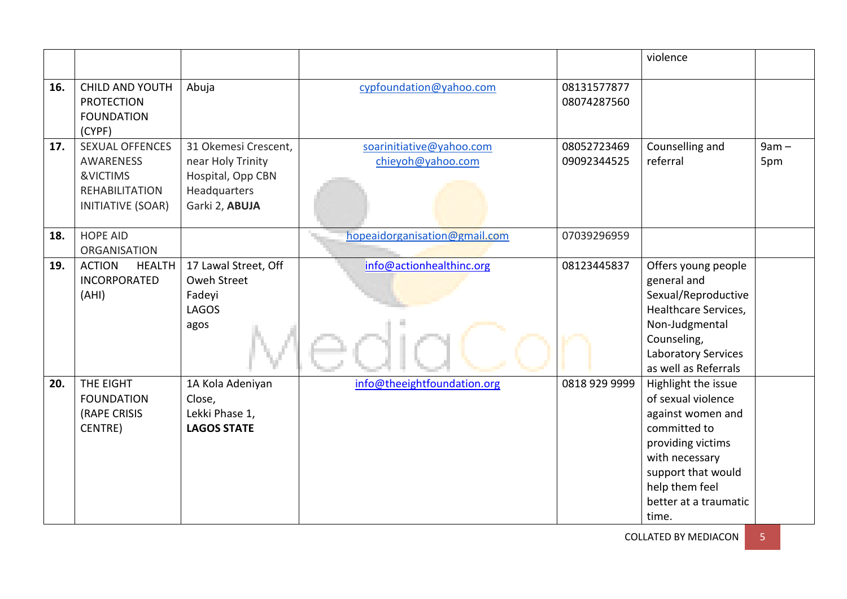|     |                                                                                                      |                                                                                                  |                                               |                            | violence                                                                                                                                                                                        |                |
|-----|------------------------------------------------------------------------------------------------------|--------------------------------------------------------------------------------------------------|-----------------------------------------------|----------------------------|-------------------------------------------------------------------------------------------------------------------------------------------------------------------------------------------------|----------------|
| 16. | <b>CHILD AND YOUTH</b><br><b>PROTECTION</b><br><b>FOUNDATION</b><br>(CYPF)                           | Abuja                                                                                            | cypfoundation@yahoo.com                       | 08131577877<br>08074287560 |                                                                                                                                                                                                 |                |
| 17. | <b>SEXUAL OFFENCES</b><br><b>AWARENESS</b><br>&VICTIMS<br><b>REHABILITATION</b><br>INITIATIVE (SOAR) | 31 Okemesi Crescent,<br>near Holy Trinity<br>Hospital, Opp CBN<br>Headquarters<br>Garki 2, ABUJA | soarinitiative@yahoo.com<br>chieyoh@yahoo.com | 08052723469<br>09092344525 | Counselling and<br>referral                                                                                                                                                                     | $9am -$<br>5pm |
| 18. | <b>HOPE AID</b><br><b>ORGANISATION</b>                                                               |                                                                                                  | hopeaidorganisation@gmail.com                 | 07039296959                |                                                                                                                                                                                                 |                |
| 19. | <b>ACTION</b><br><b>HEALTH</b><br><b>INCORPORATED</b><br>(AHI)                                       | 17 Lawal Street, Off<br>Oweh Street<br>Fadeyi<br><b>LAGOS</b><br>agos                            | info@actionhealthinc.org                      | 08123445837                | Offers young people<br>general and<br>Sexual/Reproductive<br>Healthcare Services,<br>Non-Judgmental<br>Counseling,<br><b>Laboratory Services</b><br>as well as Referrals                        |                |
| 20. | THE EIGHT<br><b>FOUNDATION</b><br>(RAPE CRISIS<br>CENTRE)                                            | 1A Kola Adeniyan<br>Close,<br>Lekki Phase 1,<br><b>LAGOS STATE</b>                               | info@theeightfoundation.org                   | 0818 929 9999              | Highlight the issue<br>of sexual violence<br>against women and<br>committed to<br>providing victims<br>with necessary<br>support that would<br>help them feel<br>better at a traumatic<br>time. |                |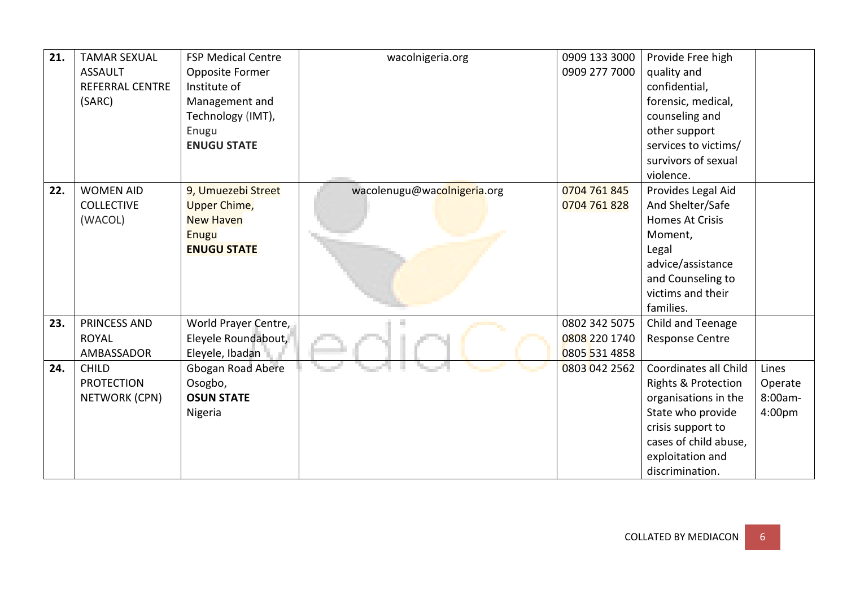| 21. | <b>TAMAR SEXUAL</b>    | <b>FSP Medical Centre</b> | wacolnigeria.org            | 0909 133 3000 | Provide Free high              |         |
|-----|------------------------|---------------------------|-----------------------------|---------------|--------------------------------|---------|
|     | <b>ASSAULT</b>         | Opposite Former           |                             | 0909 277 7000 | quality and                    |         |
|     | <b>REFERRAL CENTRE</b> | Institute of              |                             |               | confidential,                  |         |
|     | (SARC)                 | Management and            |                             |               | forensic, medical,             |         |
|     |                        | Technology (IMT),         |                             |               | counseling and                 |         |
|     |                        | Enugu                     |                             |               | other support                  |         |
|     |                        | <b>ENUGU STATE</b>        |                             |               | services to victims/           |         |
|     |                        |                           |                             |               | survivors of sexual            |         |
|     |                        |                           |                             |               | violence.                      |         |
| 22. | <b>WOMEN AID</b>       | 9, Umuezebi Street        | wacolenugu@wacolnigeria.org | 0704 761 845  | Provides Legal Aid             |         |
|     | <b>COLLECTIVE</b>      | <b>Upper Chime,</b>       |                             | 0704 761 828  | And Shelter/Safe               |         |
|     | (WACOL)                | <b>New Haven</b>          |                             |               | <b>Homes At Crisis</b>         |         |
|     |                        | <b>Enugu</b>              |                             |               | Moment,                        |         |
|     |                        | <b>ENUGU STATE</b>        |                             |               | Legal                          |         |
|     |                        |                           |                             |               | advice/assistance              |         |
|     |                        |                           |                             |               | and Counseling to              |         |
|     |                        |                           |                             |               | victims and their              |         |
|     |                        |                           |                             |               | families.                      |         |
| 23. | PRINCESS AND           | World Prayer Centre,      |                             | 0802 342 5075 | Child and Teenage              |         |
|     | <b>ROYAL</b>           | Eleyele Roundabout,       |                             | 0808 220 1740 | <b>Response Centre</b>         |         |
|     | AMBASSADOR             | Eleyele, Ibadan           |                             | 0805 531 4858 |                                |         |
| 24. | <b>CHILD</b>           | Gbogan Road Abere         |                             | 0803 042 2562 | Coordinates all Child          | Lines   |
|     | <b>PROTECTION</b>      | Osogbo,                   |                             |               | <b>Rights &amp; Protection</b> | Operate |
|     | NETWORK (CPN)          | <b>OSUN STATE</b>         |                             |               | organisations in the           | 8:00am- |
|     |                        | Nigeria                   |                             |               | State who provide              | 4:00pm  |
|     |                        |                           |                             |               | crisis support to              |         |
|     |                        |                           |                             |               | cases of child abuse,          |         |
|     |                        |                           |                             |               | exploitation and               |         |
|     |                        |                           |                             |               | discrimination.                |         |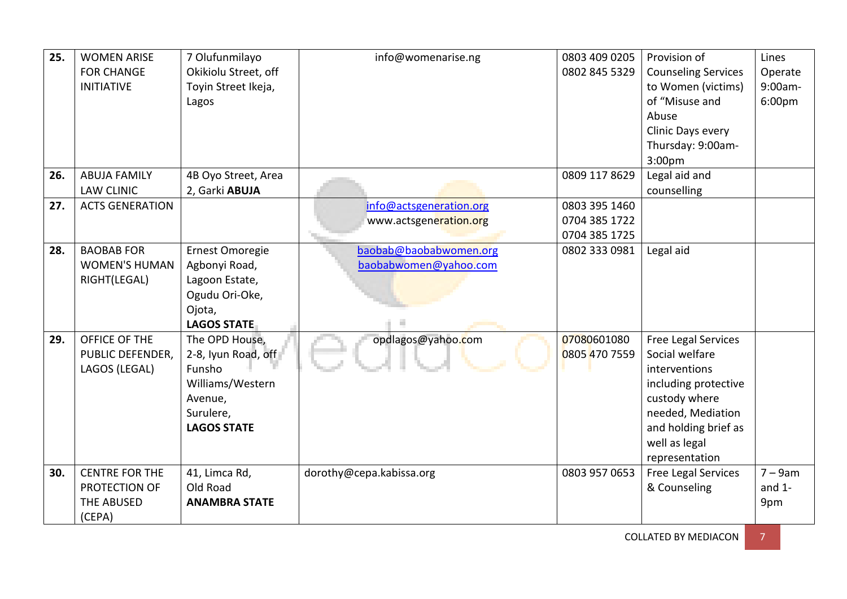| 25. | <b>WOMEN ARISE</b><br><b>FOR CHANGE</b><br><b>INITIATIVE</b>   | 7 Olufunmilayo<br>Okikiolu Street, off<br>Toyin Street Ikeja,<br>Lagos                                            | info@womenarise.ng                                | 0803 409 0205<br>0802 845 5329                  | Provision of<br><b>Counseling Services</b><br>to Women (victims)<br>of "Misuse and<br>Abuse<br>Clinic Days every<br>Thursday: 9:00am-                                                  | Lines<br>Operate<br>9:00am-<br>6:00 <sub>pm</sub> |
|-----|----------------------------------------------------------------|-------------------------------------------------------------------------------------------------------------------|---------------------------------------------------|-------------------------------------------------|----------------------------------------------------------------------------------------------------------------------------------------------------------------------------------------|---------------------------------------------------|
|     |                                                                |                                                                                                                   |                                                   |                                                 | 3:00pm                                                                                                                                                                                 |                                                   |
| 26. | <b>ABUJA FAMILY</b><br><b>LAW CLINIC</b>                       | 4B Oyo Street, Area<br>2, Garki ABUJA                                                                             |                                                   | 0809 117 8629                                   | Legal aid and<br>counselling                                                                                                                                                           |                                                   |
| 27. | <b>ACTS GENERATION</b>                                         |                                                                                                                   | info@actsgeneration.org<br>www.actsgeneration.org | 0803 395 1460<br>0704 385 1722<br>0704 385 1725 |                                                                                                                                                                                        |                                                   |
| 28. | <b>BAOBAB FOR</b><br><b>WOMEN'S HUMAN</b><br>RIGHT(LEGAL)      | Ernest Omoregie<br>Agbonyi Road,<br>Lagoon Estate,<br>Ogudu Ori-Oke,<br>Ojota,<br><b>LAGOS STATE</b>              | baobab@baobabwomen.org<br>baobabwomen@yahoo.com   | 0802 333 0981                                   | Legal aid                                                                                                                                                                              |                                                   |
| 29. | OFFICE OF THE<br>PUBLIC DEFENDER,<br>LAGOS (LEGAL)             | The OPD House,<br>2-8, Iyun Road, off<br>Funsho<br>Williams/Western<br>Avenue,<br>Surulere,<br><b>LAGOS STATE</b> | opdlagos@yahoo.com                                | 07080601080<br>0805 470 7559                    | <b>Free Legal Services</b><br>Social welfare<br>interventions<br>including protective<br>custody where<br>needed, Mediation<br>and holding brief as<br>well as legal<br>representation |                                                   |
| 30. | <b>CENTRE FOR THE</b><br>PROTECTION OF<br>THE ABUSED<br>(CEPA) | 41, Limca Rd,<br>Old Road<br><b>ANAMBRA STATE</b>                                                                 | dorothy@cepa.kabissa.org                          | 0803 957 0653                                   | <b>Free Legal Services</b><br>& Counseling                                                                                                                                             | $7 - 9$ am<br>and $1-$<br>9pm                     |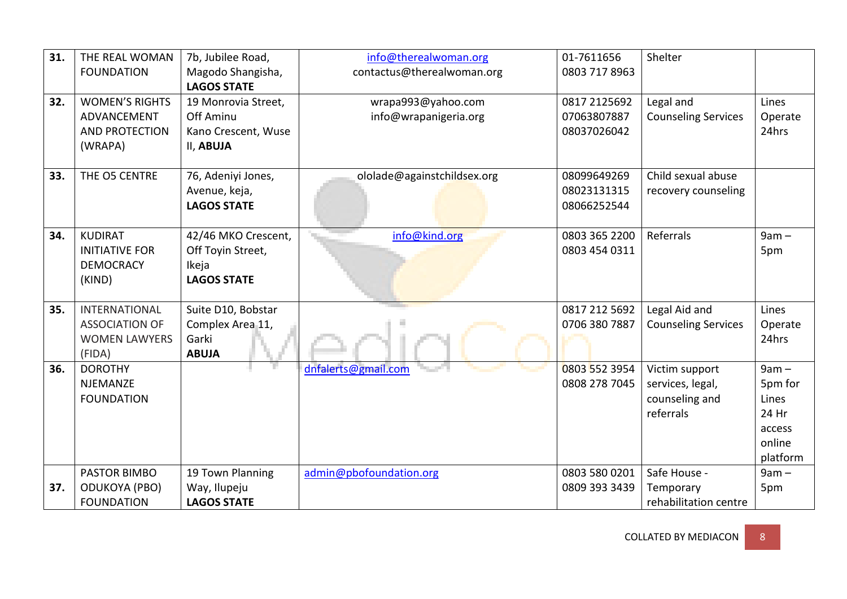| 31. | THE REAL WOMAN        | 7b, Jubilee Road,   | info@therealwoman.org       | 01-7611656    | Shelter                    |          |
|-----|-----------------------|---------------------|-----------------------------|---------------|----------------------------|----------|
|     | <b>FOUNDATION</b>     | Magodo Shangisha,   | contactus@therealwoman.org  | 0803 717 8963 |                            |          |
|     |                       | <b>LAGOS STATE</b>  |                             |               |                            |          |
| 32. | <b>WOMEN'S RIGHTS</b> | 19 Monrovia Street, | wrapa993@yahoo.com          | 0817 2125692  | Legal and                  | Lines    |
|     | ADVANCEMENT           | Off Aminu           | info@wrapanigeria.org       | 07063807887   | <b>Counseling Services</b> | Operate  |
|     | <b>AND PROTECTION</b> | Kano Crescent, Wuse |                             | 08037026042   |                            | 24hrs    |
|     | (WRAPA)               | II, ABUJA           |                             |               |                            |          |
|     |                       |                     |                             |               |                            |          |
| 33. | THE O5 CENTRE         | 76, Adeniyi Jones,  | ololade@againstchildsex.org | 08099649269   | Child sexual abuse         |          |
|     |                       | Avenue, keja,       |                             | 08023131315   | recovery counseling        |          |
|     |                       | <b>LAGOS STATE</b>  |                             | 08066252544   |                            |          |
|     |                       |                     |                             |               |                            |          |
| 34. | <b>KUDIRAT</b>        | 42/46 MKO Crescent, | info@kind.org               | 0803 365 2200 | Referrals                  | $9am -$  |
|     | <b>INITIATIVE FOR</b> | Off Toyin Street,   |                             | 0803 454 0311 |                            | 5pm      |
|     | <b>DEMOCRACY</b>      | Ikeja               |                             |               |                            |          |
|     | (KIND)                | <b>LAGOS STATE</b>  |                             |               |                            |          |
|     |                       |                     |                             |               |                            |          |
| 35. | <b>INTERNATIONAL</b>  | Suite D10, Bobstar  |                             | 0817 212 5692 | Legal Aid and              | Lines    |
|     | <b>ASSOCIATION OF</b> | Complex Area 11,    |                             | 0706 380 7887 | <b>Counseling Services</b> | Operate  |
|     | <b>WOMEN LAWYERS</b>  | Garki               |                             |               |                            | 24hrs    |
|     | (FIDA)                | <b>ABUJA</b>        |                             |               |                            |          |
| 36. | <b>DOROTHY</b>        |                     | dnfalerts@gmail.com         | 0803 552 3954 | Victim support             | $9am -$  |
|     | <b>NJEMANZE</b>       |                     |                             | 0808 278 7045 | services, legal,           | 5pm for  |
|     | <b>FOUNDATION</b>     |                     |                             |               | counseling and             | Lines    |
|     |                       |                     |                             |               | referrals                  | 24 Hr    |
|     |                       |                     |                             |               |                            | access   |
|     |                       |                     |                             |               |                            | online   |
|     |                       |                     |                             |               |                            | platform |
|     | PASTOR BIMBO          | 19 Town Planning    | admin@pbofoundation.org     | 0803 580 0201 | Safe House -               | $9am -$  |
| 37. | <b>ODUKOYA (PBO)</b>  | Way, Ilupeju        |                             | 0809 393 3439 | Temporary                  | 5pm      |
|     | <b>FOUNDATION</b>     | <b>LAGOS STATE</b>  |                             |               | rehabilitation centre      |          |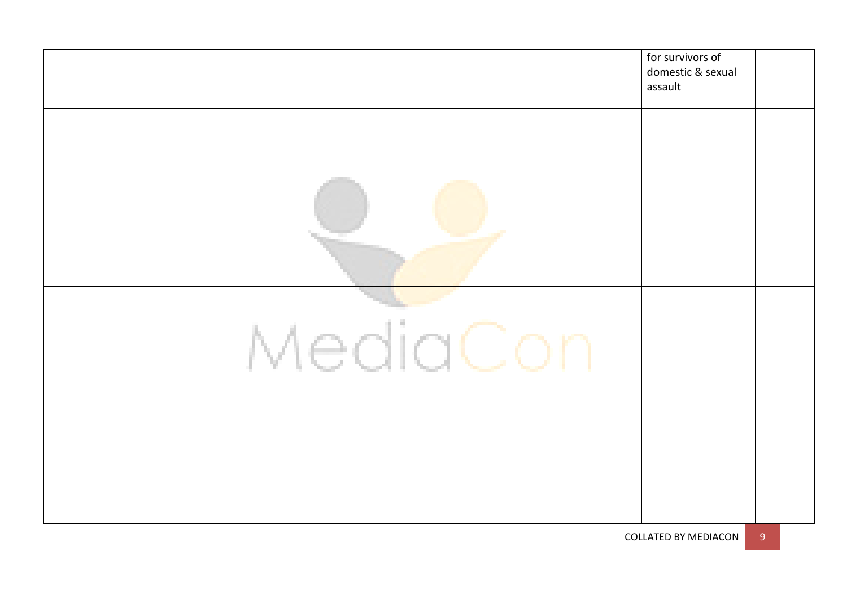|  |          | for survivors of<br>domestic & sexual<br>assault |  |
|--|----------|--------------------------------------------------|--|
|  |          |                                                  |  |
|  |          |                                                  |  |
|  | MediaCor |                                                  |  |
|  |          |                                                  |  |

COLLATED BY MEDIACON 9